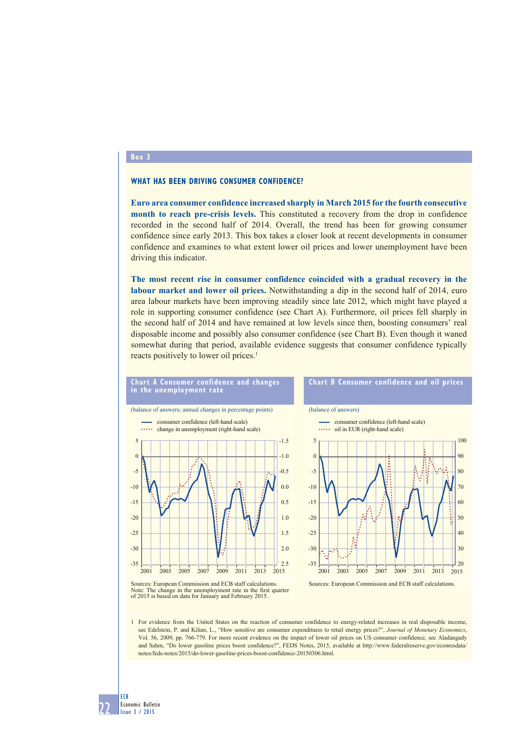## **Box 3**

## **What has been driving consumer confidence?**

**Euro area consumer confidence increased sharply in March 2015 for the fourth consecutive month to reach pre-crisis levels.** This constituted a recovery from the drop in confidence recorded in the second half of 2014. Overall, the trend has been for growing consumer confidence since early 2013. This box takes a closer look at recent developments in consumer confidence and examines to what extent lower oil prices and lower unemployment have been driving this indicator.

**The most recent rise in consumer confidence coincided with a gradual recovery in the labour market and lower oil prices.** Notwithstanding a dip in the second half of 2014, euro area labour markets have been improving steadily since late 2012, which might have played a role in supporting consumer confidence (see Chart A). Furthermore, oil prices fell sharply in the second half of 2014 and have remained at low levels since then, boosting consumers' real disposable income and possibly also consumer confidence (see Chart B). Even though it waned somewhat during that period, available evidence suggests that consumer confidence typically reacts positively to lower oil prices.<sup>1</sup>



Note: The change in the unemployment rate in the first quarter of 2015 is based on data for January and February 2015.

1 For evidence from the United States on the reaction of consumer confidence to energy-related increases in real disposable income, see Edelstein, P. and Kilian, L., "How sensitive are consumer expenditures to retail energy prices?", *Journal of Monetary Economics*, Vol. 56, 2009, pp. 766-779. For more recent evidence on the impact of lower oil prices on US consumer confidence, see Aladangady and Sahm, "Do lower gasoline prices boost confidence?", FEDS Notes, 2015, available at http://www.federalreserve.gov/econresdata/ notes/feds-notes/2015/do-lower-gasoline-prices-boost-confidence-20150306.html.

22 ECB Economic Bulletin Issue 3 / 2015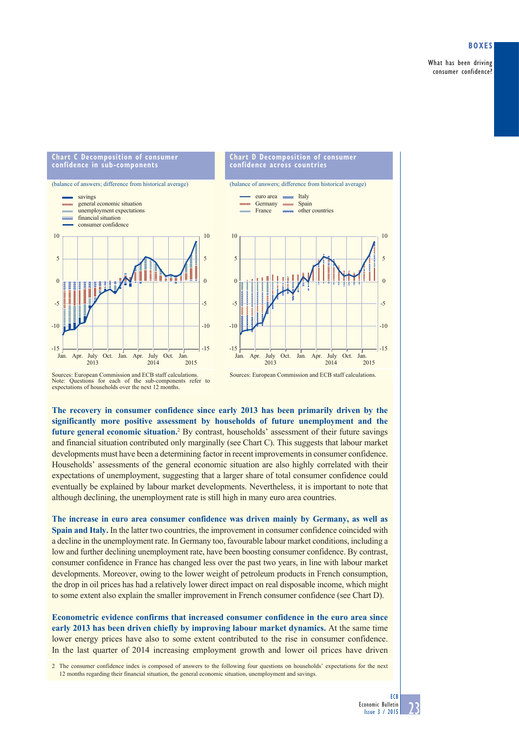What has been driving consumer confidence?

## **chart c decomposition of consumer chart d decomposition of consumer confidence in sub-components confidence across countries** (balance of answers; difference from historical average) (balance of answers; difference from historical average) Italy<br>Spain savings euro area **TELEVISION** general economic situation Germany **TERRITORY** France other countries unemployment expectations financial situation consumer confidence 10 10 10 5 5 5  $\overline{0}$  $\theta$ 0 -5 -5 -5  $-10$ -10 -10 -15 -15  $-15$ Jan. Apr. July Oct. Jan. Apr. July Oct. Jan.  $\frac{\text{July}}{2014}$ Jan. Apr. July Oct. Jan. Apr. July Oct. Jan. 2013 2014 2015

Sources: European Commission and ECB staff calculations.

**The recovery in consumer confidence since early 2013 has been primarily driven by the significantly more positive assessment by households of future unemployment and the**  future general economic situation.<sup>2</sup> By contrast, households' assessment of their future savings and financial situation contributed only marginally (see Chart C). This suggests that labour market developments must have been a determining factor in recent improvements in consumer confidence. Households' assessments of the general economic situation are also highly correlated with their expectations of unemployment, suggesting that a larger share of total consumer confidence could eventually be explained by labour market developments. Nevertheless, it is important to note that although declining, the unemployment rate is still high in many euro area countries.

**The increase in euro area consumer confidence was driven mainly by Germany, as well as Spain and Italy.** In the latter two countries, the improvement in consumer confidence coincided with a decline in the unemployment rate. In Germany too, favourable labour market conditions, including a low and further declining unemployment rate, have been boosting consumer confidence. By contrast, consumer confidence in France has changed less over the past two years, in line with labour market developments. Moreover, owing to the lower weight of petroleum products in French consumption, the drop in oil prices has had a relatively lower direct impact on real disposable income, which might to some extent also explain the smaller improvement in French consumer confidence (see Chart D).

**Econometric evidence confirms that increased consumer confidence in the euro area since early 2013 has been driven chiefly by improving labour market dynamics.** At the same time lower energy prices have also to some extent contributed to the rise in consumer confidence. In the last quarter of 2014 increasing employment growth and lower oil prices have driven

2 The consumer confidence index is composed of answers to the following four questions on households' expectations for the next 12 months regarding their financial situation, the general economic situation, unemployment and savings.

 $-15$ 

-10

-5

 $\mathbf{0}$ 

5

10

Sources: European Commission and ECB staff calculations. Note: Questions for each of the sub-components refer to expectations of households over the next 12 months.